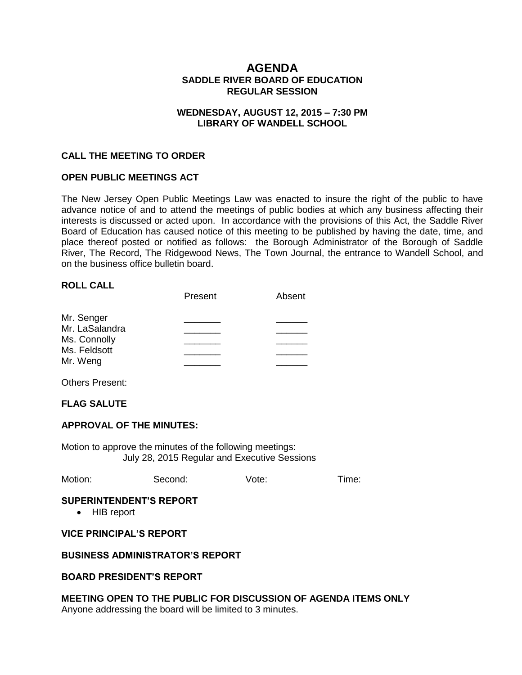# **AGENDA SADDLE RIVER BOARD OF EDUCATION REGULAR SESSION**

## **WEDNESDAY, AUGUST 12, 2015 – 7:30 PM LIBRARY OF WANDELL SCHOOL**

### **CALL THE MEETING TO ORDER**

### **OPEN PUBLIC MEETINGS ACT**

The New Jersey Open Public Meetings Law was enacted to insure the right of the public to have advance notice of and to attend the meetings of public bodies at which any business affecting their interests is discussed or acted upon. In accordance with the provisions of this Act, the Saddle River Board of Education has caused notice of this meeting to be published by having the date, time, and place thereof posted or notified as follows: the Borough Administrator of the Borough of Saddle River, The Record, The Ridgewood News, The Town Journal, the entrance to Wandell School, and on the business office bulletin board.

#### **ROLL CALL**

|                | Present | Absent |
|----------------|---------|--------|
| Mr. Senger     |         |        |
| Mr. LaSalandra |         |        |
| Ms. Connolly   |         |        |
| Ms. Feldsott   |         |        |
| Mr. Weng       |         |        |

Others Present:

## **FLAG SALUTE**

#### **APPROVAL OF THE MINUTES:**

Motion to approve the minutes of the following meetings: July 28, 2015 Regular and Executive Sessions

|  | Motion: | Second: | Vote: | Time: |
|--|---------|---------|-------|-------|
|--|---------|---------|-------|-------|

#### **SUPERINTENDENT'S REPORT**

• HIB report

### **VICE PRINCIPAL'S REPORT**

### **BUSINESS ADMINISTRATOR'S REPORT**

### **BOARD PRESIDENT'S REPORT**

### **MEETING OPEN TO THE PUBLIC FOR DISCUSSION OF AGENDA ITEMS ONLY**

Anyone addressing the board will be limited to 3 minutes.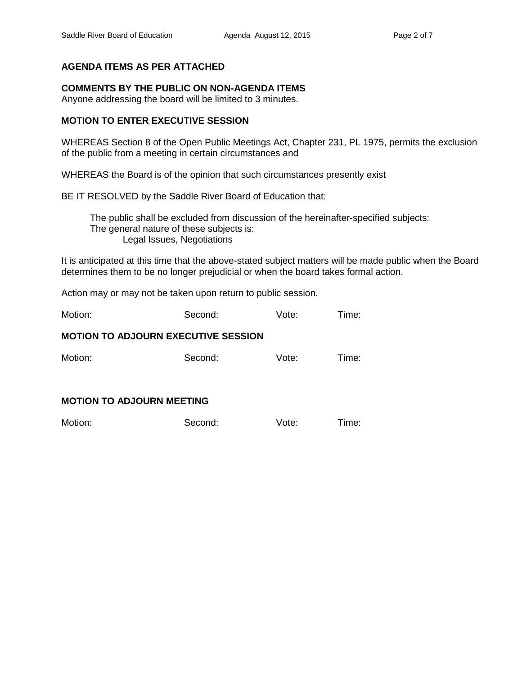# **AGENDA ITEMS AS PER ATTACHED**

### **COMMENTS BY THE PUBLIC ON NON-AGENDA ITEMS**

Anyone addressing the board will be limited to 3 minutes.

## **MOTION TO ENTER EXECUTIVE SESSION**

WHEREAS Section 8 of the Open Public Meetings Act, Chapter 231, PL 1975, permits the exclusion of the public from a meeting in certain circumstances and

WHEREAS the Board is of the opinion that such circumstances presently exist

BE IT RESOLVED by the Saddle River Board of Education that:

 The public shall be excluded from discussion of the hereinafter-specified subjects: The general nature of these subjects is: Legal Issues, Negotiations

It is anticipated at this time that the above-stated subject matters will be made public when the Board determines them to be no longer prejudicial or when the board takes formal action.

Action may or may not be taken upon return to public session.

Motion: Second: Vote: Time:

## **MOTION TO ADJOURN EXECUTIVE SESSION**

Motion: Second: Vote: Time:

# **MOTION TO ADJOURN MEETING**

| Motion: | Second: | Vote: | Time: |
|---------|---------|-------|-------|
|         |         |       |       |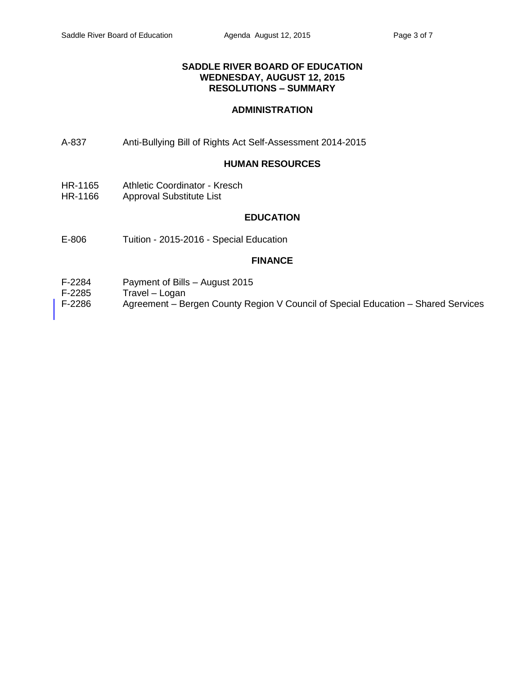## **SADDLE RIVER BOARD OF EDUCATION WEDNESDAY, AUGUST 12, 2015 RESOLUTIONS – SUMMARY**

# **ADMINISTRATION**

A-837 Anti-Bullying Bill of Rights Act Self-Assessment 2014-2015

#### **HUMAN RESOURCES**

- HR-1165 Athletic Coordinator Kresch
- HR-1166 Approval Substitute List

# **EDUCATION**

E-806 Tuition - 2015-2016 - Special Education

### **FINANCE**

- F-2284 Payment of Bills August 2015
- F-2285 Travel Logan
- F-2286 Agreement Bergen County Region V Council of Special Education Shared Services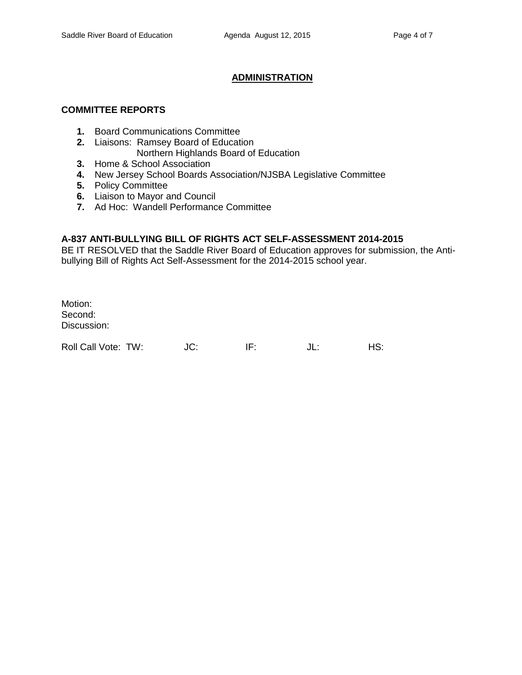# **ADMINISTRATION**

# **COMMITTEE REPORTS**

- **1.** Board Communications Committee
- **2.** Liaisons: Ramsey Board of Education
	- Northern Highlands Board of Education
- **3.** Home & School Association
- **4.** New Jersey School Boards Association/NJSBA Legislative Committee
- **5.** Policy Committee
- **6.** Liaison to Mayor and Council
- **7.** Ad Hoc: Wandell Performance Committee

# **A-837 ANTI-BULLYING BILL OF RIGHTS ACT SELF-ASSESSMENT 2014-2015**

BE IT RESOLVED that the Saddle River Board of Education approves for submission, the Antibullying Bill of Rights Act Self-Assessment for the 2014-2015 school year.

Motion: Second: Discussion:

Roll Call Vote: TW: JC: IF: JL: HS: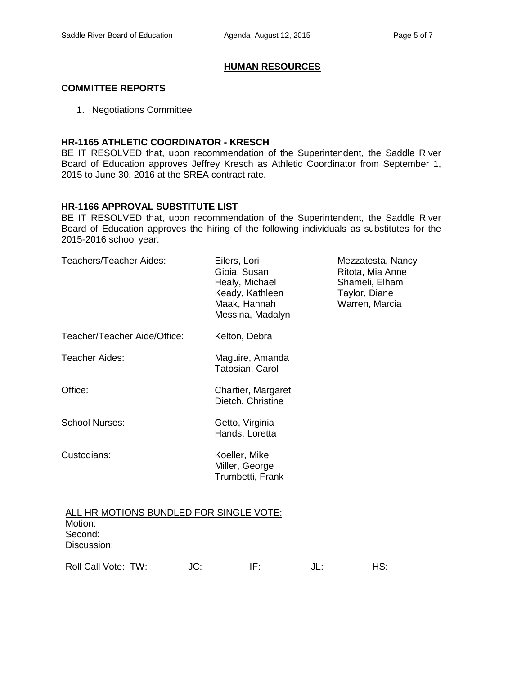# **HUMAN RESOURCES**

## **COMMITTEE REPORTS**

1. Negotiations Committee

## **HR-1165 ATHLETIC COORDINATOR - KRESCH**

BE IT RESOLVED that, upon recommendation of the Superintendent, the Saddle River Board of Education approves Jeffrey Kresch as Athletic Coordinator from September 1, 2015 to June 30, 2016 at the SREA contract rate.

## **HR-1166 APPROVAL SUBSTITUTE LIST**

BE IT RESOLVED that, upon recommendation of the Superintendent, the Saddle River Board of Education approves the hiring of the following individuals as substitutes for the 2015-2016 school year:

| Teachers/Teacher Aides:                                                      | Eilers, Lori<br>Gioia, Susan<br>Healy, Michael<br>Keady, Kathleen<br>Maak, Hannah<br>Messina, Madalyn | Mezzatesta, Nancy<br>Ritota, Mia Anne<br>Shameli, Elham<br>Taylor, Diane<br>Warren, Marcia |
|------------------------------------------------------------------------------|-------------------------------------------------------------------------------------------------------|--------------------------------------------------------------------------------------------|
| Teacher/Teacher Aide/Office:                                                 | Kelton, Debra                                                                                         |                                                                                            |
| Teacher Aides:                                                               | Maguire, Amanda<br>Tatosian, Carol                                                                    |                                                                                            |
| Office:                                                                      | Chartier, Margaret<br>Dietch, Christine                                                               |                                                                                            |
| <b>School Nurses:</b>                                                        | Getto, Virginia<br>Hands, Loretta                                                                     |                                                                                            |
| Custodians:                                                                  | Koeller, Mike<br>Miller, George<br>Trumbetti, Frank                                                   |                                                                                            |
| ALL HR MOTIONS BUNDLED FOR SINGLE VOTE:<br>Motion:<br>Second:<br>Discussion: |                                                                                                       |                                                                                            |
| Roll Call Vote: TW:<br>JC:                                                   | IF:                                                                                                   | HS:<br>JL:                                                                                 |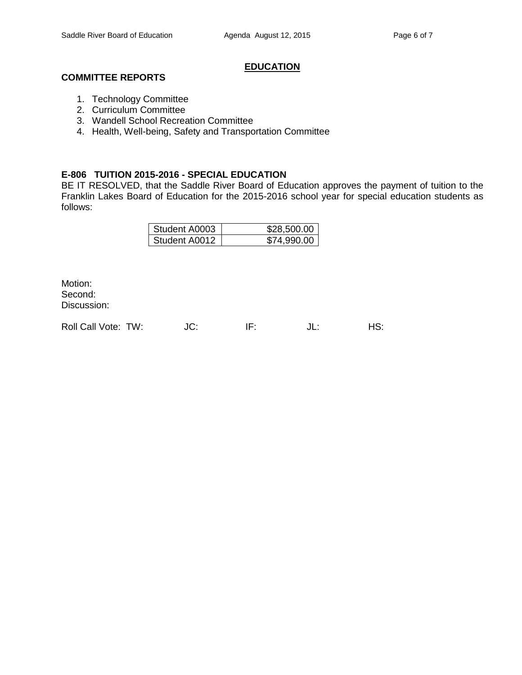# **EDUCATION**

# **COMMITTEE REPORTS**

- 1. Technology Committee
- 2. Curriculum Committee
- 3. Wandell School Recreation Committee
- 4. Health, Well-being, Safety and Transportation Committee

## **E-806 TUITION 2015-2016 - SPECIAL EDUCATION**

BE IT RESOLVED, that the Saddle River Board of Education approves the payment of tuition to the Franklin Lakes Board of Education for the 2015-2016 school year for special education students as follows:

| Student A0003 | \$28,500.00 |
|---------------|-------------|
| Student A0012 | \$74,990.00 |

Motion: Second: Discussion:

Roll Call Vote: TW:  $JC:$  IF:  $JL:$  HS: